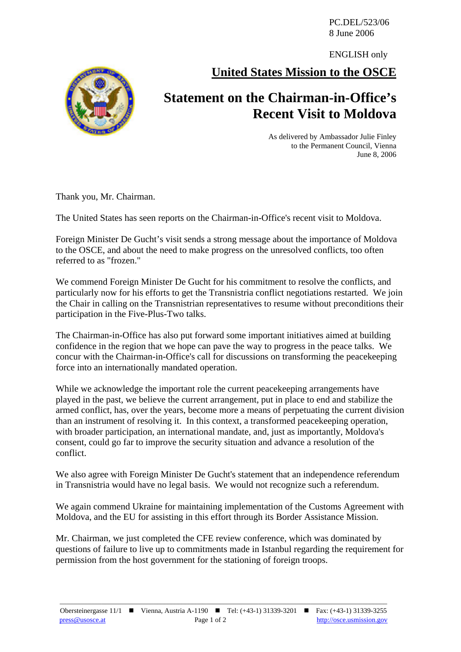PC.DEL/523/06 8 June 2006

ENGLISH only

**United States Mission to the OSCE**



## **Statement on the Chairman-in-Office's Recent Visit to Moldova**

As delivered by Ambassador Julie Finley to the Permanent Council, Vienna June 8, 2006

Thank you, Mr. Chairman.

The United States has seen reports on the Chairman-in-Office's recent visit to Moldova.

Foreign Minister De Gucht's visit sends a strong message about the importance of Moldova to the OSCE, and about the need to make progress on the unresolved conflicts, too often referred to as "frozen."

We commend Foreign Minister De Gucht for his commitment to resolve the conflicts, and particularly now for his efforts to get the Transnistria conflict negotiations restarted. We join the Chair in calling on the Transnistrian representatives to resume without preconditions their participation in the Five-Plus-Two talks.

The Chairman-in-Office has also put forward some important initiatives aimed at building confidence in the region that we hope can pave the way to progress in the peace talks. We concur with the Chairman-in-Office's call for discussions on transforming the peacekeeping force into an internationally mandated operation.

While we acknowledge the important role the current peacekeeping arrangements have played in the past, we believe the current arrangement, put in place to end and stabilize the armed conflict, has, over the years, become more a means of perpetuating the current division than an instrument of resolving it. In this context, a transformed peacekeeping operation, with broader participation, an international mandate, and, just as importantly, Moldova's consent, could go far to improve the security situation and advance a resolution of the conflict.

We also agree with Foreign Minister De Gucht's statement that an independence referendum in Transnistria would have no legal basis. We would not recognize such a referendum.

We again commend Ukraine for maintaining implementation of the Customs Agreement with Moldova, and the EU for assisting in this effort through its Border Assistance Mission.

Mr. Chairman, we just completed the CFE review conference, which was dominated by questions of failure to live up to commitments made in Istanbul regarding the requirement for permission from the host government for the stationing of foreign troops.